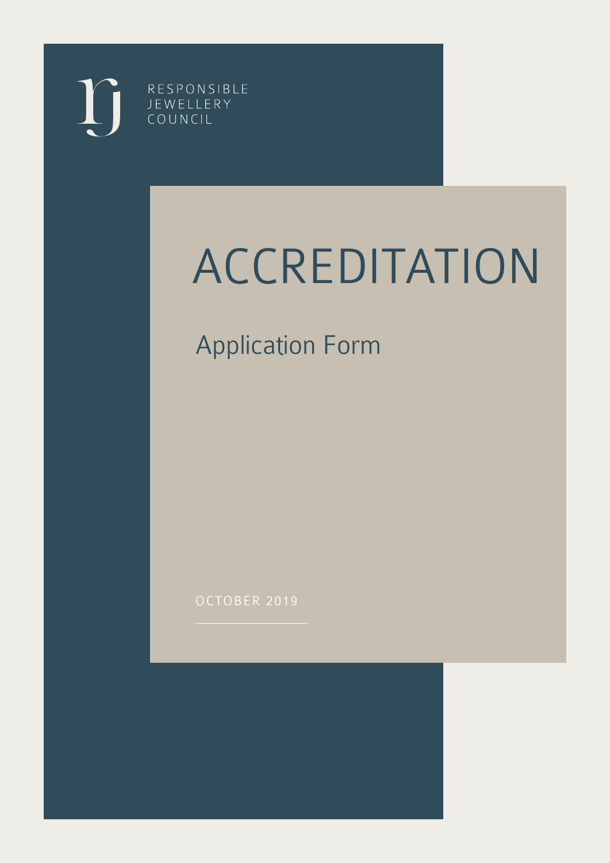RESPONSIBLE JEWELLERY COUNCIL

# ACCREDITATION

# Application Form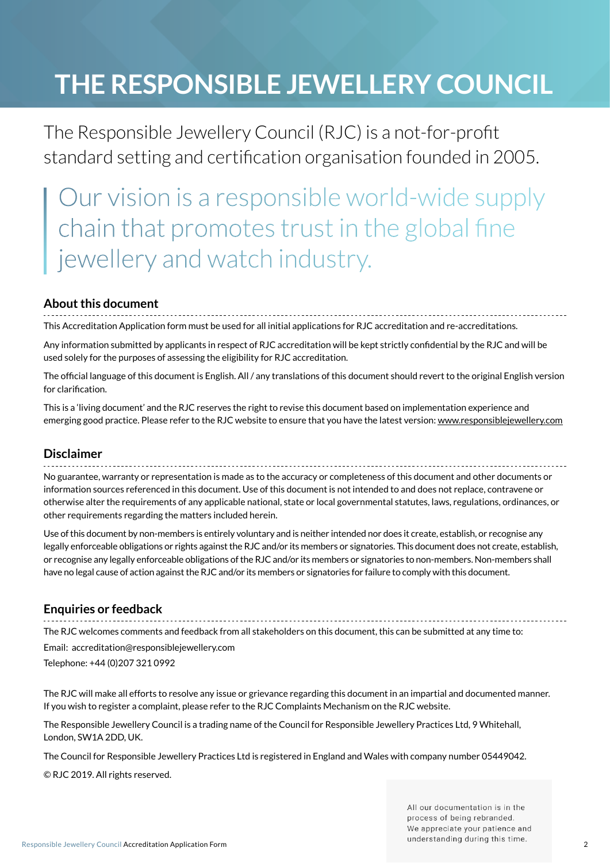# **The Responsible Jewellery Council**

The Responsible Jewellery Council (RJC) is a not-for-profit standard setting and certification organisation founded in 2005.

Our vision is a responsible world-wide supply chain that promotes trust in the global fine jewellery and watch industry.

## **About this document**

This Accreditation Application form must be used for all initial applications for RJC accreditation and re-accreditations.

Any information submitted by applicants in respect of RJC accreditation will be kept strictly confidential by the RJC and will be used solely for the purposes of assessing the eligibility for RJC accreditation.

The official language of this document is English. All / any translations of this document should revert to the original English version for clarification.

This is a 'living document' and the RJC reserves the right to revise this document based on implementation experience and emerging good practice. Please refer to the RJC website to ensure that you have the latest version: www.responsiblejewellery.com

### **Disclaimer**

No guarantee, warranty or representation is made as to the accuracy or completeness of this document and other documents or information sources referenced in this document. Use of this document is not intended to and does not replace, contravene or otherwise alter the requirements of any applicable national, state or local governmental statutes, laws, regulations, ordinances, or other requirements regarding the matters included herein.

Use of this document by non-members is entirely voluntary and is neither intended nor does it create, establish, or recognise any legally enforceable obligations or rights against the RJC and/or its members or signatories. This document does not create, establish, or recognise any legally enforceable obligations of the RJC and/or its members or signatories to non-members. Non-members shall have no legal cause of action against the RJC and/or its members or signatories for failure to comply with this document.

## **Enquiries or feedback**

The RJC welcomes comments and feedback from all stakeholders on this document, this can be submitted at any time to:

Email: accreditation@responsiblejewellery.com Telephone: +44 (0)207 321 0992

The RJC will make all efforts to resolve any issue or grievance regarding this document in an impartial and documented manner. If you wish to register a complaint, please refer to the RJC Complaints Mechanism on the RJC website.

The Responsible Jewellery Council is a trading name of the Council for Responsible Jewellery Practices Ltd, 9 Whitehall, London, SW1A 2DD, UK.

The Council for Responsible Jewellery Practices Ltd is registered in England and Wales with company number 05449042.

© RJC 2019. All rights reserved.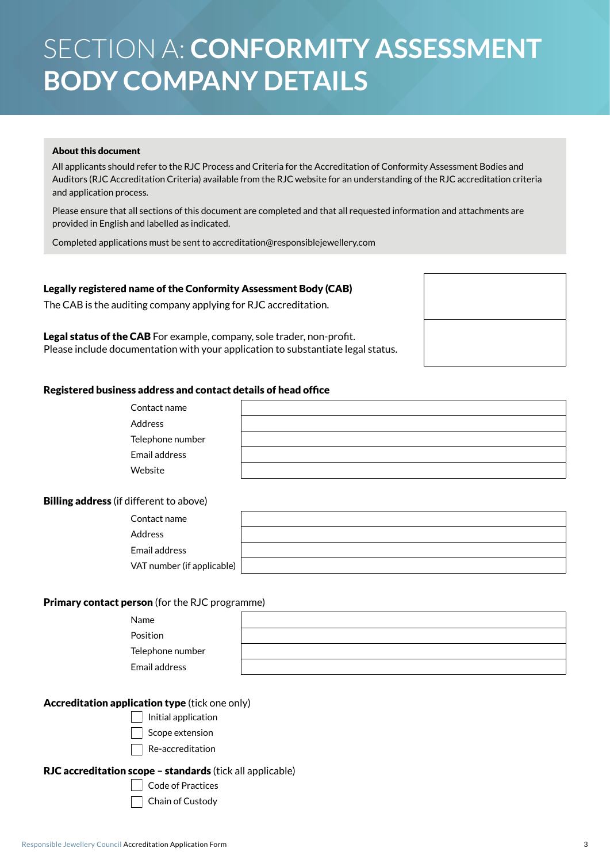# Section A: **Conformity Assessment Body company details**

### About this document

All applicants should refer to the RJC Process and Criteria for the Accreditation of Conformity Assessment Bodies and Auditors (RJC Accreditation Criteria) available from the RJC website for an understanding of the RJC accreditation criteria and application process.

Please ensure that all sections of this document are completed and that all requested information and attachments are provided in English and labelled as indicated.

Completed applications must be sent to accreditation@responsiblejewellery.com

### Legally registered name of the Conformity Assessment Body (CAB)

The CAB is the auditing company applying for RJC accreditation.

Legal status of the CAB For example, company, sole trader, non-profit. Please include documentation with your application to substantiate legal status.

### Registered business address and contact details of head office

| Contact name                                   |  |
|------------------------------------------------|--|
| <b>Address</b>                                 |  |
| Telephone number                               |  |
| Email address                                  |  |
| Website                                        |  |
|                                                |  |
| <b>Billing address</b> (if different to above) |  |
| Contact name                                   |  |
| Address                                        |  |
| Email address                                  |  |
| VAT number (if applicable)                     |  |
|                                                |  |
| Primary contact person (for the RJC programme) |  |
| Name                                           |  |
| Position                                       |  |
| Telephone number                               |  |
| Email address                                  |  |

### Accreditation application type (tick one only)

- $\vert$  Initial application
	- Scope extension
	- Re-accreditation

### RJC accreditation scope – standards (tick all applicable)

Code of Practices

Chain of Custody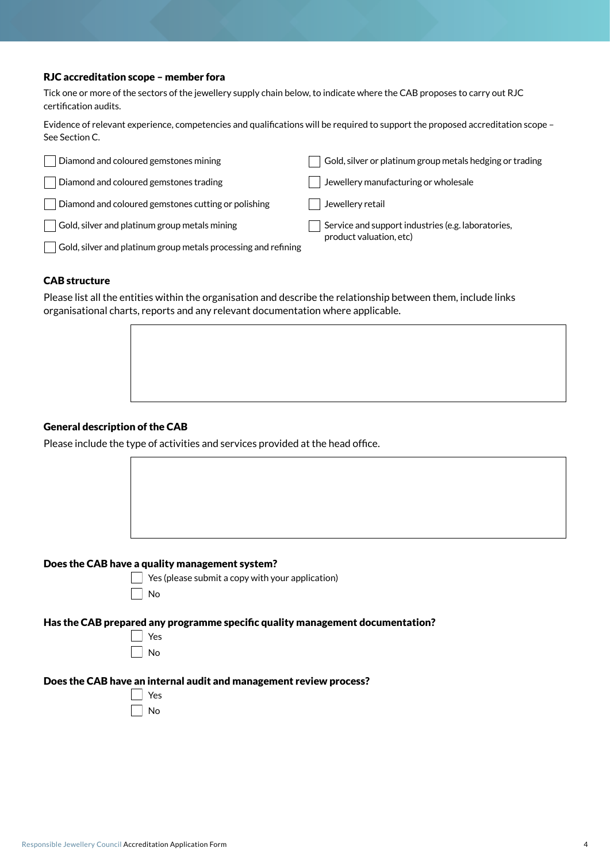#### RJC accreditation scope – member fora

Tick one or more of the sectors of the jewellery supply chain below, to indicate where the CAB proposes to carry out RJC certification audits.

Evidence of relevant experience, competencies and qualifications will be required to support the proposed accreditation scope – See Section C.

| Diamond and coloured gemstones mining                                 | Gold, silver or platinum group metals hedging or trading |
|-----------------------------------------------------------------------|----------------------------------------------------------|
| Diamond and coloured gemstones trading                                | Jewellery manufacturing or wholesale                     |
| Diamond and coloured gemstones cutting or polishing                   | Jewellery retail                                         |
| Gold, silver and platinum group metals mining                         | Service and support industries (e.g. laboratories,       |
| $\mid$ Gold, silver and platinum group metals processing and refining | product valuation, etc)                                  |

#### CAB structure

Please list all the entities within the organisation and describe the relationship between them, include links organisational charts, reports and any relevant documentation where applicable.



### General description of the CAB

Please include the type of activities and services provided at the head office.





 $\Box$  Yes (please submit a copy with your application)

#### Has the CAB prepared any programme specific quality management documentation?

| c |
|---|

#### Does the CAB have an internal audit and management review process?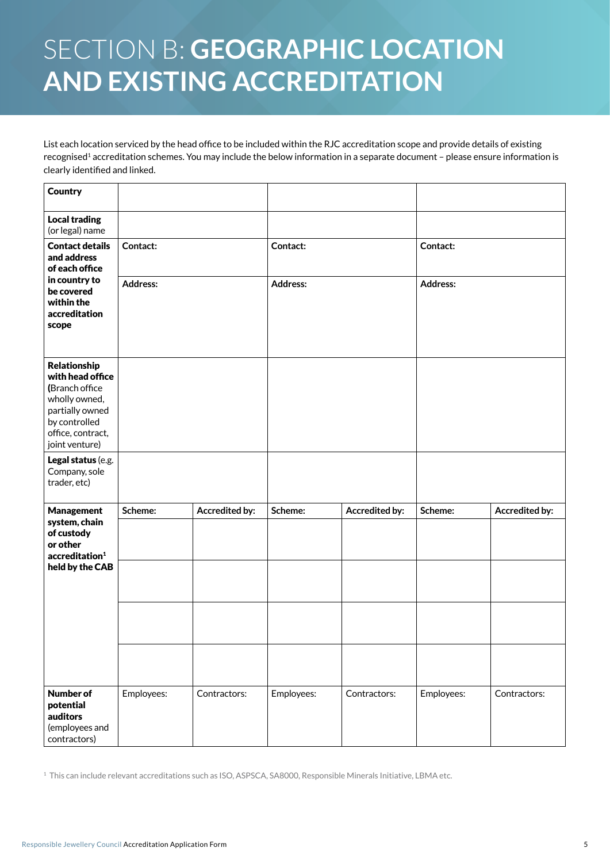# Section B: **Geographic location and existing accreditation**

List each location serviced by the head office to be included within the RJC accreditation scope and provide details of existing recognised<sup>1</sup> accreditation schemes. You may include the below information in a separate document - please ensure information is clearly identified and linked.

| <b>Country</b>                                                                                                                                 |                 |                       |                 |                |                 |                       |
|------------------------------------------------------------------------------------------------------------------------------------------------|-----------------|-----------------------|-----------------|----------------|-----------------|-----------------------|
| <b>Local trading</b><br>(or legal) name                                                                                                        |                 |                       |                 |                |                 |                       |
| <b>Contact details</b><br>and address<br>of each office                                                                                        | Contact:        |                       | Contact:        |                | Contact:        |                       |
| in country to<br>be covered<br>within the<br>accreditation<br>scope                                                                            | <b>Address:</b> |                       | <b>Address:</b> |                | <b>Address:</b> |                       |
| Relationship<br>with head office<br>(Branch office<br>wholly owned,<br>partially owned<br>by controlled<br>office, contract,<br>joint venture) |                 |                       |                 |                |                 |                       |
| Legal status (e.g.<br>Company, sole<br>trader, etc)                                                                                            |                 |                       |                 |                |                 |                       |
| <b>Management</b>                                                                                                                              | Scheme:         | <b>Accredited by:</b> | Scheme:         | Accredited by: | Scheme:         | <b>Accredited by:</b> |
| system, chain<br>of custody<br>or other<br>accreditation <sup>1</sup>                                                                          |                 |                       |                 |                |                 |                       |
| held by the CAB                                                                                                                                |                 |                       |                 |                |                 |                       |
|                                                                                                                                                |                 |                       |                 |                |                 |                       |
|                                                                                                                                                |                 |                       |                 |                |                 |                       |
| <b>Number of</b><br>potential<br>auditors<br>(employees and<br>contractors)                                                                    | Employees:      | Contractors:          | Employees:      | Contractors:   | Employees:      | Contractors:          |

1 This can include relevant accreditations such as ISO, ASPSCA, SA8000, Responsible Minerals Initiative, LBMA etc.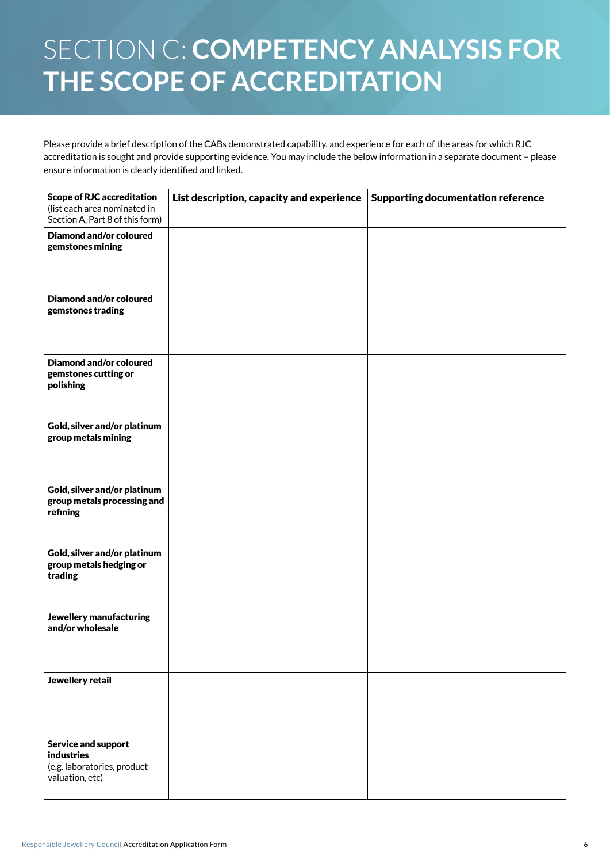# Section C: **Competency analysis for the scope of accreditation**

Please provide a brief description of the CABs demonstrated capability, and experience for each of the areas for which RJC accreditation is sought and provide supporting evidence. You may include the below information in a separate document – please ensure information is clearly identified and linked.

| <b>Scope of RJC accreditation</b><br>(list each area nominated in<br>Section A, Part 8 of this form) | List description, capacity and experience | <b>Supporting documentation reference</b> |
|------------------------------------------------------------------------------------------------------|-------------------------------------------|-------------------------------------------|
| <b>Diamond and/or coloured</b><br>gemstones mining                                                   |                                           |                                           |
| <b>Diamond and/or coloured</b><br>gemstones trading                                                  |                                           |                                           |
| <b>Diamond and/or coloured</b><br>gemstones cutting or<br>polishing                                  |                                           |                                           |
| Gold, silver and/or platinum<br>group metals mining                                                  |                                           |                                           |
| Gold, silver and/or platinum<br>group metals processing and<br>refining                              |                                           |                                           |
| Gold, silver and/or platinum<br>group metals hedging or<br>trading                                   |                                           |                                           |
| Jewellery manufacturing<br>and/or wholesale                                                          |                                           |                                           |
| Jewellery retail                                                                                     |                                           |                                           |
| <b>Service and support</b><br><b>industries</b><br>(e.g. laboratories, product<br>valuation, etc)    |                                           |                                           |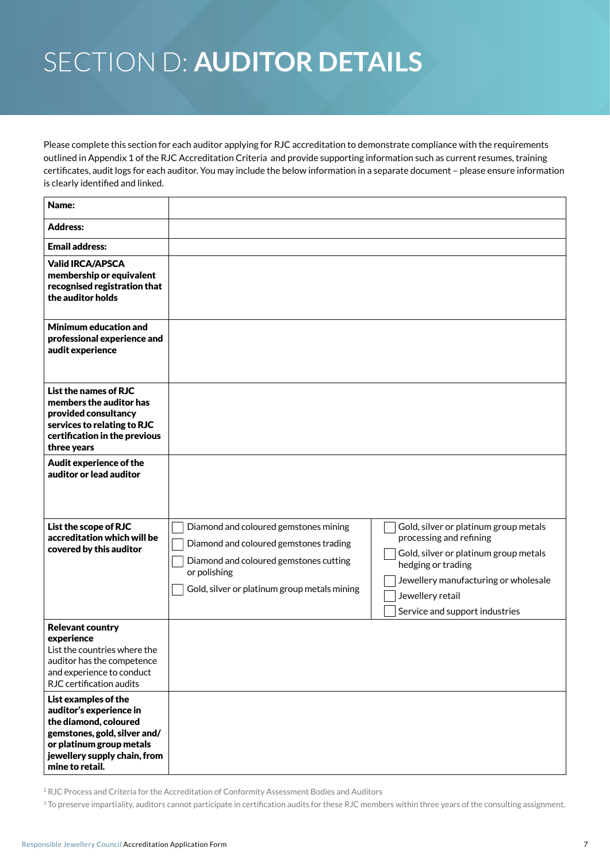# Section D: **Auditor details**

Please complete this section for each auditor applying for RJC accreditation to demonstrate compliance with the requirements outlined in Appendix 1 of the RJC Accreditation Criteria and provide supporting information such as current resumes, training certificates, audit logs for each auditor. You may include the below information in a separate document – please ensure information is clearly identified and linked.

| Name:                                                                                                                                                                                   |                                                                                                                                                                                           |                                                                                                                                                                                                                               |
|-----------------------------------------------------------------------------------------------------------------------------------------------------------------------------------------|-------------------------------------------------------------------------------------------------------------------------------------------------------------------------------------------|-------------------------------------------------------------------------------------------------------------------------------------------------------------------------------------------------------------------------------|
| <b>Address:</b>                                                                                                                                                                         |                                                                                                                                                                                           |                                                                                                                                                                                                                               |
| <b>Email address:</b>                                                                                                                                                                   |                                                                                                                                                                                           |                                                                                                                                                                                                                               |
| <b>Valid IRCA/APSCA</b><br>membership or equivalent<br>recognised registration that<br>the auditor holds                                                                                |                                                                                                                                                                                           |                                                                                                                                                                                                                               |
| Minimum education and<br>professional experience and<br>audit experience                                                                                                                |                                                                                                                                                                                           |                                                                                                                                                                                                                               |
| List the names of RJC<br>members the auditor has<br>provided consultancy<br>services to relating to RJC<br>certification in the previous<br>three years                                 |                                                                                                                                                                                           |                                                                                                                                                                                                                               |
| Audit experience of the<br>auditor or lead auditor                                                                                                                                      |                                                                                                                                                                                           |                                                                                                                                                                                                                               |
| List the scope of RJC<br>accreditation which will be<br>covered by this auditor                                                                                                         | Diamond and coloured gemstones mining<br>Diamond and coloured gemstones trading<br>Diamond and coloured gemstones cutting<br>or polishing<br>Gold, silver or platinum group metals mining | Gold, silver or platinum group metals<br>processing and refining<br>Gold, silver or platinum group metals<br>hedging or trading<br>Jewellery manufacturing or wholesale<br>Jewellery retail<br>Service and support industries |
| <b>Relevant country</b><br>experience<br>List the countries where the<br>auditor has the competence<br>and experience to conduct<br>RJC certification audits                            |                                                                                                                                                                                           |                                                                                                                                                                                                                               |
| List examples of the<br>auditor's experience in<br>the diamond, coloured<br>gemstones, gold, silver and/<br>or platinum group metals<br>jewellery supply chain, from<br>mine to retail. |                                                                                                                                                                                           |                                                                                                                                                                                                                               |

<sup>2</sup> RJC Process and Criteria for the Accreditation of Conformity Assessment Bodies and Auditors

<sup>3</sup> To preserve impartiality, auditors cannot participate in certification audits for these RJC members within three years of the consulting assignment.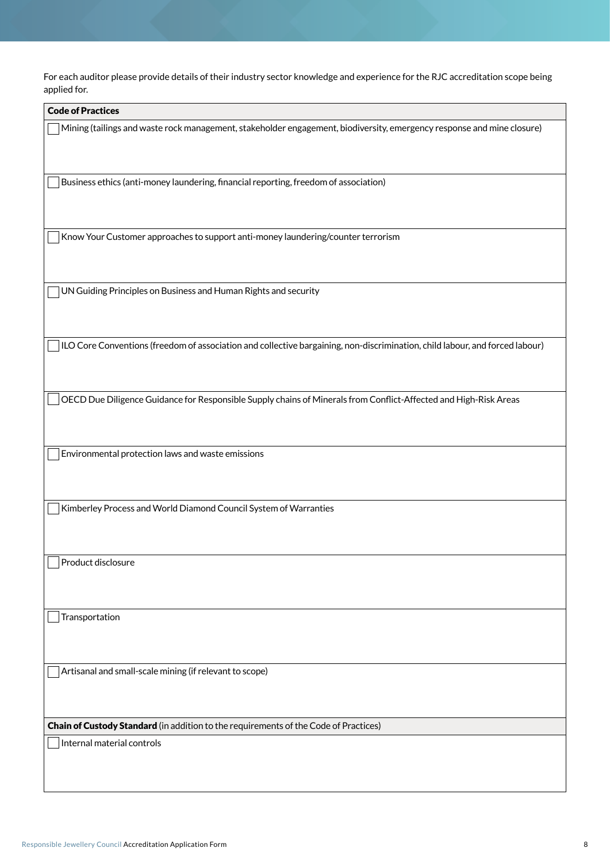For each auditor please provide details of their industry sector knowledge and experience for the RJC accreditation scope being applied for.

| <b>Code of Practices</b>                                                                                                     |
|------------------------------------------------------------------------------------------------------------------------------|
| Mining (tailings and waste rock management, stakeholder engagement, biodiversity, emergency response and mine closure)       |
| Business ethics (anti-money laundering, financial reporting, freedom of association)                                         |
| Know Your Customer approaches to support anti-money laundering/counter terrorism                                             |
| UN Guiding Principles on Business and Human Rights and security                                                              |
| ILO Core Conventions (freedom of association and collective bargaining, non-discrimination, child labour, and forced labour) |
| OECD Due Diligence Guidance for Responsible Supply chains of Minerals from Conflict-Affected and High-Risk Areas             |
| Environmental protection laws and waste emissions                                                                            |
| Kimberley Process and World Diamond Council System of Warranties                                                             |
| Product disclosure                                                                                                           |
| Transportation                                                                                                               |
| Artisanal and small-scale mining (if relevant to scope)                                                                      |
| Chain of Custody Standard (in addition to the requirements of the Code of Practices)                                         |
| Internal material controls                                                                                                   |